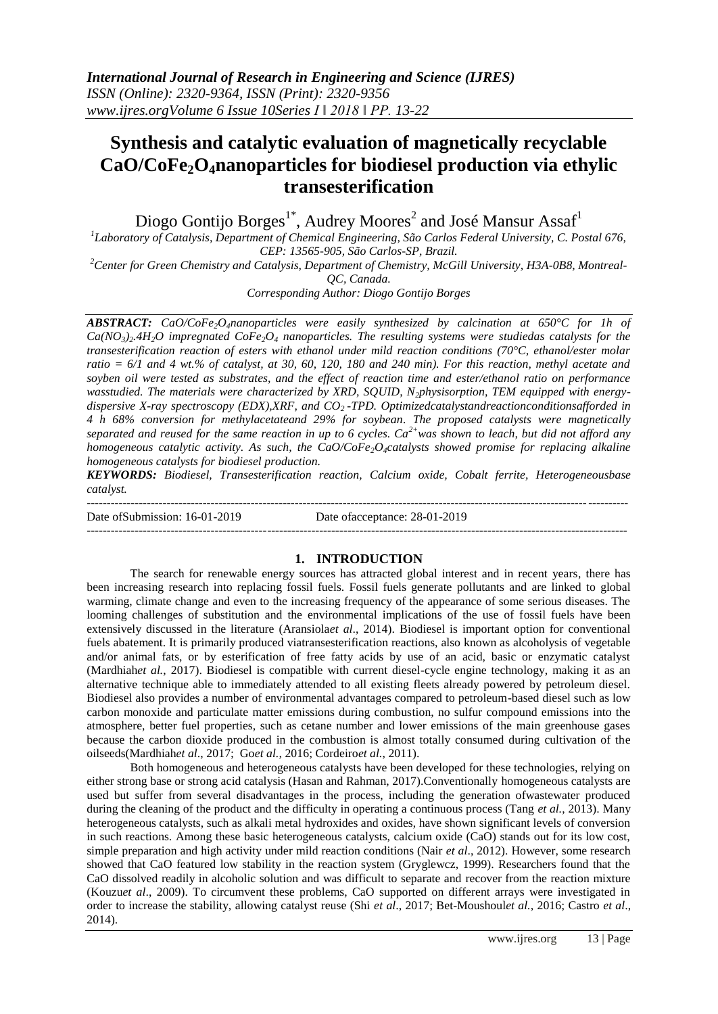# **Synthesis and catalytic evaluation of magnetically recyclable CaO/CoFe2O4nanoparticles for biodiesel production via ethylic transesterification**

Diogo Gontijo Borges<sup>1\*</sup>, Audrey Moores<sup>2</sup> and José Mansur Assaf<sup>1</sup>

*1 Laboratory of Catalysis, Department of Chemical Engineering, São Carlos Federal University, C. Postal 676, CEP: 13565-905, São Carlos-SP, Brazil.*

*<sup>2</sup>Center for Green Chemistry and Catalysis, Department of Chemistry, McGill University, H3A-0B8, Montreal-*

*QC, Canada.*

*Corresponding Author: Diogo Gontijo Borges*

*ABSTRACT: CaO/CoFe2O4nanoparticles were easily synthesized by calcination at 650°C for 1h of*   $Ca(NO_3)_2.4H_2O$  impregnated  $CoFe_2O_4$  *nanoparticles. The resulting systems were studiedas catalysts for the transesterification reaction of esters with ethanol under mild reaction conditions (70°C, ethanol/ester molar ratio = 6/1 and 4 wt.% of catalyst, at 30, 60, 120, 180 and 240 min). For this reaction, methyl acetate and soyben oil were tested as substrates, and the effect of reaction time and ester/ethanol ratio on performance wasstudied. The materials were characterized by XRD, SQUID, N2physisorption, TEM equipped with energydispersive X-ray spectroscopy (EDX),XRF, and CO2 -TPD. Optimizedcatalystandreactionconditionsafforded in 4 h 68% conversion for methylacetateand 29% for soybean. The proposed catalysts were magnetically separated and reused for the same reaction in up to 6 cycles. Ca2+was shown to leach, but did not afford any homogeneous catalytic activity. As such, the CaO/CoFe2O4catalysts showed promise for replacing alkaline homogeneous catalysts for biodiesel production.*

*KEYWORDS: Biodiesel, Transesterification reaction, Calcium oxide, Cobalt ferrite, Heterogeneousbase catalyst.*

--------------------------------------------------------------------------------------------------------------------------------------- Date of Submission: 16-01-2019 Date of acceptance: 28-01-2019

---------------------------------------------------------------------------------------------------------------------------------------

## **1. INTRODUCTION**

The search for renewable energy sources has attracted global interest and in recent years, there has been increasing research into replacing fossil fuels. Fossil fuels generate pollutants and are linked to global warming, climate change and even to the increasing frequency of the appearance of some serious diseases. The looming challenges of substitution and the environmental implications of the use of fossil fuels have been extensively discussed in the literature (Aransiola*et al*., 2014). Biodiesel is important option for conventional fuels abatement. It is primarily produced viatransesterification reactions, also known as alcoholysis of vegetable and/or animal fats, or by esterification of free fatty acids by use of an acid, basic or enzymatic catalyst (Mardhiah*et al.*, 2017). Biodiesel is compatible with current diesel-cycle engine technology, making it as an alternative technique able to immediately attended to all existing fleets already powered by petroleum diesel. Biodiesel also provides a number of environmental advantages compared to petroleum-based diesel such as low carbon monoxide and particulate matter emissions during combustion, no sulfur compound emissions into the atmosphere, better fuel properties, such as cetane number and lower emissions of the main greenhouse gases because the carbon dioxide produced in the combustion is almost totally consumed during cultivation of the oilseeds(Mardhiah*et al*., 2017; Go*et al.,* 2016; Cordeiro*et al.*, 2011).

Both homogeneous and heterogeneous catalysts have been developed for these technologies, relying on either strong base or strong acid catalysis (Hasan and Rahman, 2017).Conventionally homogeneous catalysts are used but suffer from several disadvantages in the process, including the generation ofwastewater produced during the cleaning of the product and the difficulty in operating a continuous process (Tang *et al.*, 2013). Many heterogeneous catalysts, such as alkali metal hydroxides and oxides, have shown significant levels of conversion in such reactions. Among these basic heterogeneous catalysts, calcium oxide (CaO) stands out for its low cost, simple preparation and high activity under mild reaction conditions (Nair *et al*., 2012). However, some research showed that CaO featured low stability in the reaction system (Gryglewcz, 1999). Researchers found that the CaO dissolved readily in alcoholic solution and was difficult to separate and recover from the reaction mixture (Kouzu*et al*., 2009). To circumvent these problems, CaO supported on different arrays were investigated in order to increase the stability, allowing catalyst reuse (Shi *et al*., 2017; Bet-Moushoul*et al.*, 2016; Castro *et al*., 2014).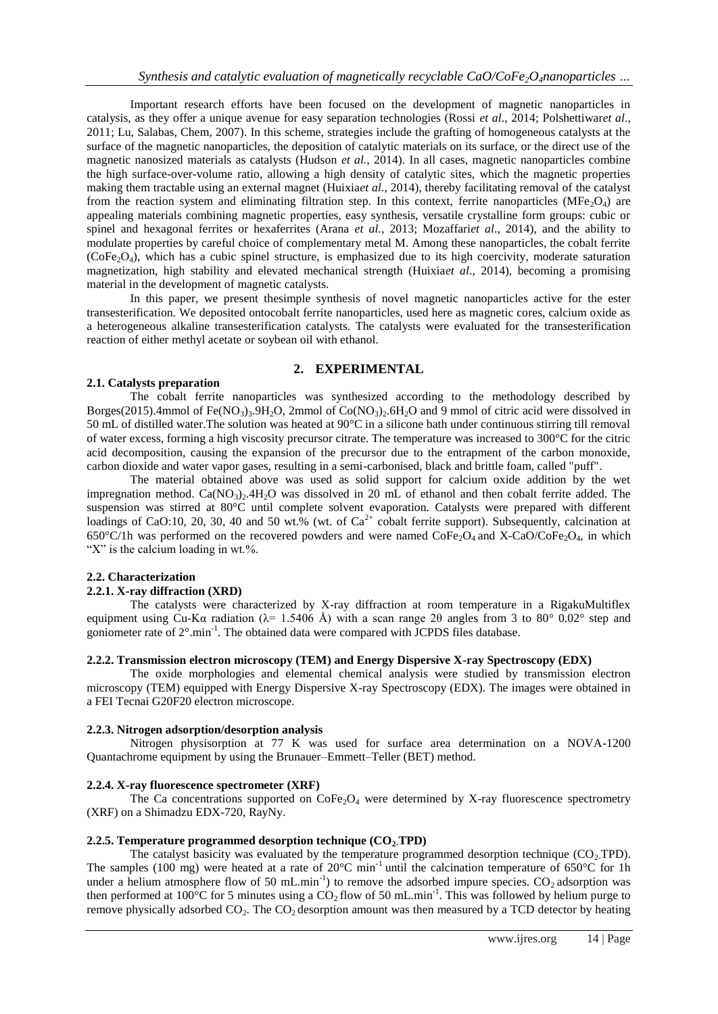Important research efforts have been focused on the development of magnetic nanoparticles in catalysis, as they offer a unique avenue for easy separation technologies (Rossi *et al*., 2014; Polshettiwar*et al*., 2011; Lu, Salabas, Chem, 2007). In this scheme, strategies include the grafting of homogeneous catalysts at the surface of the magnetic nanoparticles, the deposition of catalytic materials on its surface, or the direct use of the magnetic nanosized materials as catalysts (Hudson *et al.*, 2014). In all cases, magnetic nanoparticles combine the high surface-over-volume ratio, allowing a high density of catalytic sites, which the magnetic properties making them tractable using an external magnet (Huixia*et al.*, 2014), thereby facilitating removal of the catalyst from the reaction system and eliminating filtration step. In this context, ferrite nanoparticles ( $MFe<sub>2</sub>O<sub>4</sub>$ ) are appealing materials combining magnetic properties, easy synthesis, versatile crystalline form groups: cubic or spinel and hexagonal ferrites or hexaferrites (Arana *et al.*, 2013; Mozaffari*et al.*, 2014), and the ability to modulate properties by careful choice of complementary metal M. Among these nanoparticles, the cobalt ferrite  $(CoFe<sub>2</sub>O<sub>4</sub>)$ , which has a cubic spinel structure, is emphasized due to its high coercivity, moderate saturation magnetization, high stability and elevated mechanical strength (Huixia*et al*., 2014), becoming a promising material in the development of magnetic catalysts.

In this paper, we present thesimple synthesis of novel magnetic nanoparticles active for the ester transesterification. We deposited ontocobalt ferrite nanoparticles, used here as magnetic cores, calcium oxide as a heterogeneous alkaline transesterification catalysts. The catalysts were evaluated for the transesterification reaction of either methyl acetate or soybean oil with ethanol.

## **2. EXPERIMENTAL**

#### **2.1. Catalysts preparation**

The cobalt ferrite nanoparticles was synthesized according to the methodology described by Borges(2015).4mmol of Fe(NO<sub>3</sub>)<sub>3</sub>.9H<sub>2</sub>O, 2mmol of Co(NO<sub>3</sub>)<sub>2</sub>.6H<sub>2</sub>O and 9 mmol of citric acid were dissolved in 50 mL of distilled water.The solution was heated at 90°C in a silicone bath under continuous stirring till removal of water excess, forming a high viscosity precursor citrate. The temperature was increased to 300°C for the citric acid decomposition, causing the expansion of the precursor due to the entrapment of the carbon monoxide, carbon dioxide and water vapor gases, resulting in a semi-carbonised, black and brittle foam, called "puff".

The material obtained above was used as solid support for calcium oxide addition by the wet impregnation method.  $Ca(NO<sub>3</sub>)<sub>2</sub>·4H<sub>2</sub>O$  was dissolved in 20 mL of ethanol and then cobalt ferrite added. The suspension was stirred at 80°C until complete solvent evaporation. Catalysts were prepared with different loadings of CaO:10, 20, 30, 40 and 50 wt.% (wt. of Ca<sup>2+</sup> cobalt ferrite support). Subsequently, calcination at 650°C/1h was performed on the recovered powders and were named  $\text{CoFe}_2\text{O}_4$  and X-CaO/CoFe<sub>2</sub>O<sub>4</sub>, in which "X" is the calcium loading in wt.%.

#### **2.2. Characterization**

#### **2.2.1. X-ray diffraction (XRD)**

The catalysts were characterized by X-ray diffraction at room temperature in a RigakuMultiflex equipment using Cu-Kα radiation ( $\lambda$ = 1.5406 Å) with a scan range 2θ angles from 3 to 80° 0.02° step and goniometer rate of 2° min<sup>-1</sup>. The obtained data were compared with JCPDS files database.

#### **2.2.2. Transmission electron microscopy (TEM) and Energy Dispersive X-ray Spectroscopy (EDX)**

The oxide morphologies and elemental chemical analysis were studied by transmission electron microscopy (TEM) equipped with Energy Dispersive X-ray Spectroscopy (EDX). The images were obtained in a FEI Tecnai G20F20 electron microscope.

#### **2.2.3. Nitrogen adsorption/desorption analysis**

Nitrogen physisorption at 77 K was used for surface area determination on a NOVA-1200 Quantachrome equipment by using the Brunauer–Emmett–Teller (BET) method.

#### **2.2.4. X-ray fluorescence spectrometer (XRF)**

The Ca concentrations supported on  $\text{CoFe}_2\text{O}_4$  were determined by X-ray fluorescence spectrometry (XRF) on a Shimadzu EDX-720, RayNy.

#### **2.2.5. Temperature programmed desorption technique (CO2-TPD)**

The catalyst basicity was evaluated by the temperature programmed desorption technique  $(CO<sub>2</sub>TPD)$ . The samples (100 mg) were heated at a rate of  $20^{\circ}$ C min<sup>-1</sup> until the calcination temperature of 650°C for 1h under a helium atmosphere flow of 50 mL.min<sup>-1</sup>) to remove the adsorbed impure species.  $CO_2$  adsorption was then performed at 100°C for 5 minutes using a  $CO_2$  flow of 50 mL.min<sup>-1</sup>. This was followed by helium purge to remove physically adsorbed  $CO<sub>2</sub>$ . The  $CO<sub>2</sub>$  desorption amount was then measured by a TCD detector by heating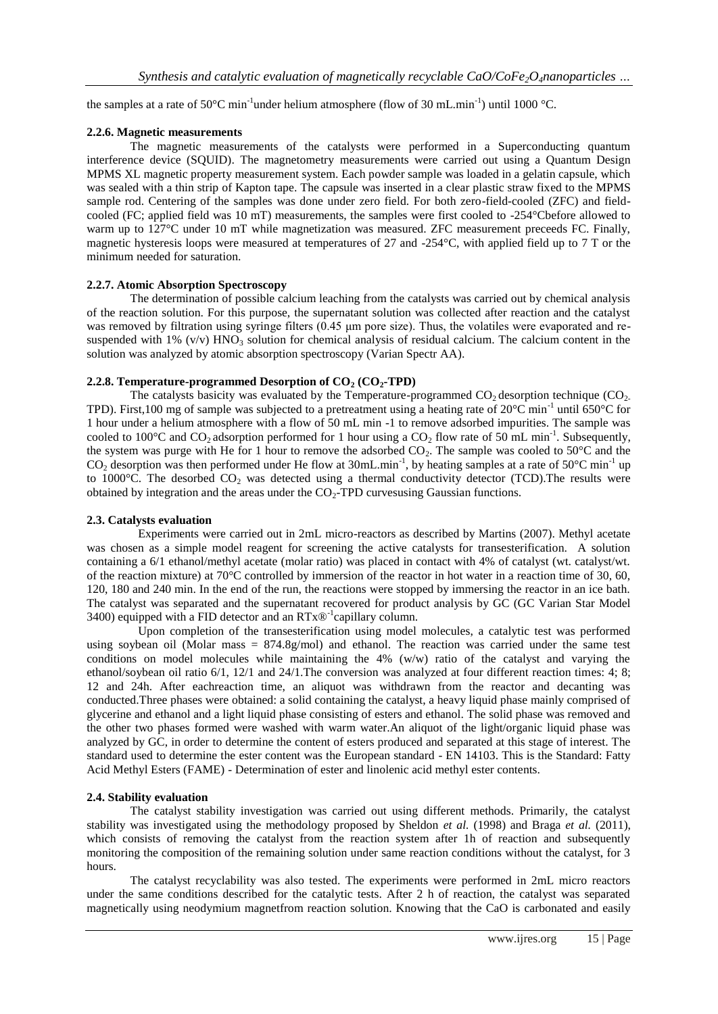the samples at a rate of 50°C min<sup>-1</sup>under helium atmosphere (flow of 30 mL.min<sup>-1</sup>) until 1000 °C.

## **2.2.6. Magnetic measurements**

The magnetic measurements of the catalysts were performed in a Superconducting quantum interference device (SQUID). The magnetometry measurements were carried out using a Quantum Design MPMS XL magnetic property measurement system. Each powder sample was loaded in a gelatin capsule, which was sealed with a thin strip of Kapton tape. The capsule was inserted in a clear plastic straw fixed to the MPMS sample rod. Centering of the samples was done under zero field. For both zero-field-cooled (ZFC) and fieldcooled (FC; applied field was 10 mT) measurements, the samples were first cooled to -254°Cbefore allowed to warm up to 127°C under 10 mT while magnetization was measured. ZFC measurement preceeds FC. Finally, magnetic hysteresis loops were measured at temperatures of 27 and -254°C, with applied field up to 7 T or the minimum needed for saturation.

## **2.2.7. Atomic Absorption Spectroscopy**

The determination of possible calcium leaching from the catalysts was carried out by chemical analysis of the reaction solution. For this purpose, the supernatant solution was collected after reaction and the catalyst was removed by filtration using syringe filters (0.45 μm pore size). Thus, the volatiles were evaporated and resuspended with  $1\%$  (v/v)  $HNO_3$  solution for chemical analysis of residual calcium. The calcium content in the solution was analyzed by atomic absorption spectroscopy (Varian Spectr AA).

## **2.2.8. Temperature-programmed Desorption of CO<sup>2</sup> (CO2-TPD)**

The catalysts basicity was evaluated by the Temperature-programmed  $CO<sub>2</sub>$  desorption technique ( $CO<sub>2</sub>$ ) TPD). First,100 mg of sample was subjected to a pretreatment using a heating rate of  $20^{\circ}$ C min<sup>-1</sup> until 650°C for 1 hour under a helium atmosphere with a flow of 50 mL min -1 to remove adsorbed impurities. The sample was cooled to 100°C and CO<sub>2</sub> adsorption performed for 1 hour using a CO<sub>2</sub> flow rate of 50 mL min<sup>-1</sup>. Subsequently, the system was purge with He for 1 hour to remove the adsorbed  $CO<sub>2</sub>$ . The sample was cooled to 50°C and the  $CO_2$  desorption was then performed under He flow at 30mL.min<sup>-1</sup>, by heating samples at a rate of 50°C min<sup>-1</sup> up to 1000 $^{\circ}$ C. The desorbed CO<sub>2</sub> was detected using a thermal conductivity detector (TCD). The results were obtained by integration and the areas under the  $CO<sub>2</sub>-TPD$  curves using Gaussian functions.

#### **2.3. Catalysts evaluation**

Experiments were carried out in 2mL micro-reactors as described by Martins (2007). Methyl acetate was chosen as a simple model reagent for screening the active catalysts for transesterification. A solution containing a 6/1 ethanol/methyl acetate (molar ratio) was placed in contact with 4% of catalyst (wt. catalyst/wt. of the reaction mixture) at 70°C controlled by immersion of the reactor in hot water in a reaction time of 30, 60, 120, 180 and 240 min. In the end of the run, the reactions were stopped by immersing the reactor in an ice bath. The catalyst was separated and the supernatant recovered for product analysis by GC (GC Varian Star Model 3400) equipped with a FID detector and an  $RTx@^{-1}$ capillary column.

Upon completion of the transesterification using model molecules, a catalytic test was performed using soybean oil (Molar mass  $= 874.8g/mol$ ) and ethanol. The reaction was carried under the same test conditions on model molecules while maintaining the 4% (w/w) ratio of the catalyst and varying the ethanol/soybean oil ratio 6/1, 12/1 and 24/1.The conversion was analyzed at four different reaction times: 4; 8; 12 and 24h. After eachreaction time, an aliquot was withdrawn from the reactor and decanting was conducted.Three phases were obtained: a solid containing the catalyst, a heavy liquid phase mainly comprised of glycerine and ethanol and a light liquid phase consisting of esters and ethanol. The solid phase was removed and the other two phases formed were washed with warm water.An aliquot of the light/organic liquid phase was analyzed by GC, in order to determine the content of esters produced and separated at this stage of interest. The standard used to determine the ester content was the European standard - EN 14103. This is the Standard: Fatty Acid Methyl Esters (FAME) - Determination of ester and linolenic acid methyl ester contents.

## **2.4. Stability evaluation**

The catalyst stability investigation was carried out using different methods. Primarily, the catalyst stability was investigated using the methodology proposed by Sheldon *et al.* (1998) and Braga *et al.* (2011), which consists of removing the catalyst from the reaction system after 1h of reaction and subsequently monitoring the composition of the remaining solution under same reaction conditions without the catalyst, for 3 hours.

The catalyst recyclability was also tested. The experiments were performed in 2mL micro reactors under the same conditions described for the catalytic tests. After 2 h of reaction, the catalyst was separated magnetically using neodymium magnetfrom reaction solution. Knowing that the CaO is carbonated and easily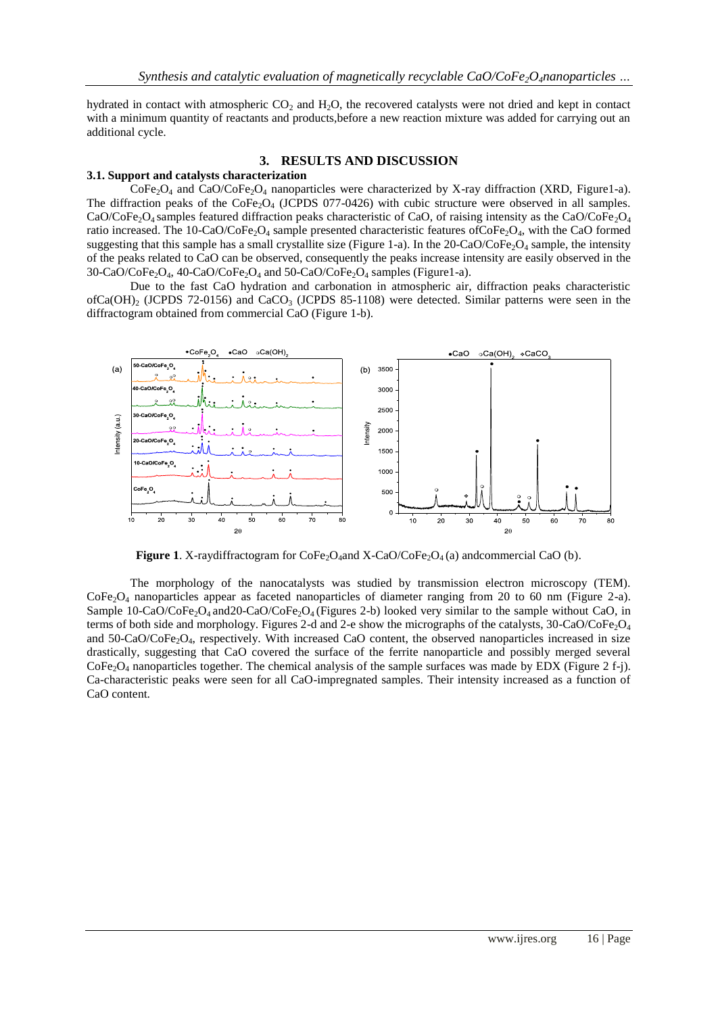hydrated in contact with atmospheric  $CO<sub>2</sub>$  and  $H<sub>2</sub>O$ , the recovered catalysts were not dried and kept in contact with a minimum quantity of reactants and products, before a new reaction mixture was added for carrying out an additional cycle.

## **3. RESULTS AND DISCUSSION**

#### **3.1. Support and catalysts characterization**

 $CoFe<sub>2</sub>O<sub>4</sub>$  and CaO/CoFe<sub>2</sub>O<sub>4</sub> nanoparticles were characterized by X-ray diffraction (XRD, Figure1-a). The diffraction peaks of the  $\text{CoFe}_2\text{O}_4$  (JCPDS 077-0426) with cubic structure were observed in all samples. CaO/CoFe<sub>2</sub>O<sub>4</sub> samples featured diffraction peaks characteristic of CaO, of raising intensity as the CaO/CoFe<sub>2</sub>O<sub>4</sub> ratio increased. The 10-CaO/CoFe<sub>2</sub>O<sub>4</sub> sample presented characteristic features ofCoFe<sub>2</sub>O<sub>4</sub>, with the CaO formed suggesting that this sample has a small crystallite size (Figure 1-a). In the 20-CaO/CoFe<sub>2</sub>O<sub>4</sub> sample, the intensity of the peaks related to CaO can be observed, consequently the peaks increase intensity are easily observed in the  $30\text{-}CaO/CoFe<sub>2</sub>O<sub>4</sub>$ ,  $40\text{-}CaO/CoFe<sub>2</sub>O<sub>4</sub>$  and  $50\text{-}CaO/CoFe<sub>2</sub>O<sub>4</sub>$  samples (Figure1-a).

Due to the fast CaO hydration and carbonation in atmospheric air, diffraction peaks characteristic ofCa(OH)<sub>2</sub> (JCPDS 72-0156) and CaCO<sub>3</sub> (JCPDS 85-1108) were detected. Similar patterns were seen in the diffractogram obtained from commercial CaO (Figure 1-b).



**Figure** 1. X-raydiffractogram for  $\text{CoFe}_2\text{O}_4$  and  $\text{X-CaO}/\text{CoFe}_2\text{O}_4$  (a) and commercial CaO (b).

The morphology of the nanocatalysts was studied by transmission electron microscopy (TEM).  $\text{CoFe}_2\text{O}_4$  nanoparticles appear as faceted nanoparticles of diameter ranging from 20 to 60 nm (Figure 2-a). Sample 10-CaO/CoFe<sub>2</sub>O<sub>4</sub> and 20-CaO/CoFe<sub>2</sub>O<sub>4</sub> (Figures 2-b) looked very similar to the sample without CaO, in terms of both side and morphology. Figures 2-d and 2-e show the micrographs of the catalysts, 30-CaO/CoFe2O<sup>4</sup> and  $50$ -CaO/CoFe<sub>2</sub>O<sub>4</sub>, respectively. With increased CaO content, the observed nanoparticles increased in size drastically, suggesting that CaO covered the surface of the ferrite nanoparticle and possibly merged several  $CoFe<sub>2</sub>O<sub>4</sub>$  nanoparticles together. The chemical analysis of the sample surfaces was made by EDX (Figure 2 f-j). Ca-characteristic peaks were seen for all CaO-impregnated samples. Their intensity increased as a function of CaO content.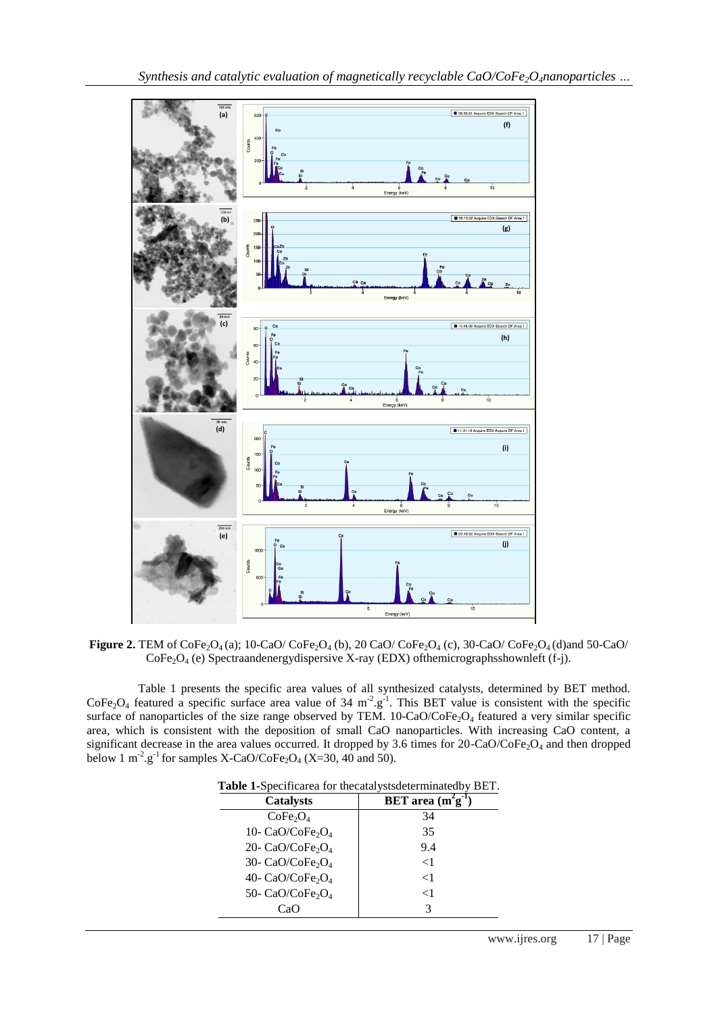

**Figure 2.** TEM of  $\text{CoFe}_2\text{O}_4(a)$ ; 10-CaO/  $\text{CoFe}_2\text{O}_4(b)$ , 20 CaO/  $\text{CoFe}_2\text{O}_4(c)$ , 30-CaO/  $\text{CoFe}_2\text{O}_4(d)$  and 50-CaO/  $CoFe<sub>2</sub>O<sub>4</sub>$  (e) Spectraandenergy dispersive X-ray (EDX) of the micrographs shown left (f-j).

Table 1 presents the specific area values of all synthesized catalysts, determined by BET method. CoFe<sub>2</sub>O<sub>4</sub> featured a specific surface area value of 34 m<sup>-2</sup>.g<sup>-1</sup>. This BET value is consistent with the specific surface of nanoparticles of the size range observed by TEM.  $10$ -CaO/CoFe<sub>2</sub>O<sub>4</sub> featured a very similar specific area, which is consistent with the deposition of small CaO nanoparticles. With increasing CaO content, a significant decrease in the area values occurred. It dropped by 3.6 times for  $20$ -CaO/CoFe<sub>2</sub>O<sub>4</sub> and then dropped below 1 m<sup>-2</sup>.g<sup>-1</sup> for samples X-CaO/CoFe<sub>2</sub>O<sub>4</sub> (X=30, 40 and 50).

| <b>Catalysts</b>                         | BET area $(m^2g^{-1})$ |
|------------------------------------------|------------------------|
| CoFe <sub>2</sub> O <sub>4</sub>         | 34                     |
| 10- CaO/CoFe <sub>2</sub> O <sub>4</sub> | 35                     |
| 20- CaO/CoFe <sub>2</sub> O <sub>4</sub> | 9.4                    |
| 30- CaO/CoFe <sub>2</sub> O <sub>4</sub> | $<$ 1                  |
| 40- CaO/CoFe <sub>2</sub> O <sub>4</sub> | $<$ 1                  |
| 50- CaO/CoFe <sub>2</sub> O <sub>4</sub> | $<$ 1                  |
| CaO                                      | 3                      |

**Table 1-**Specificarea for thecatalystsdeterminatedby BET.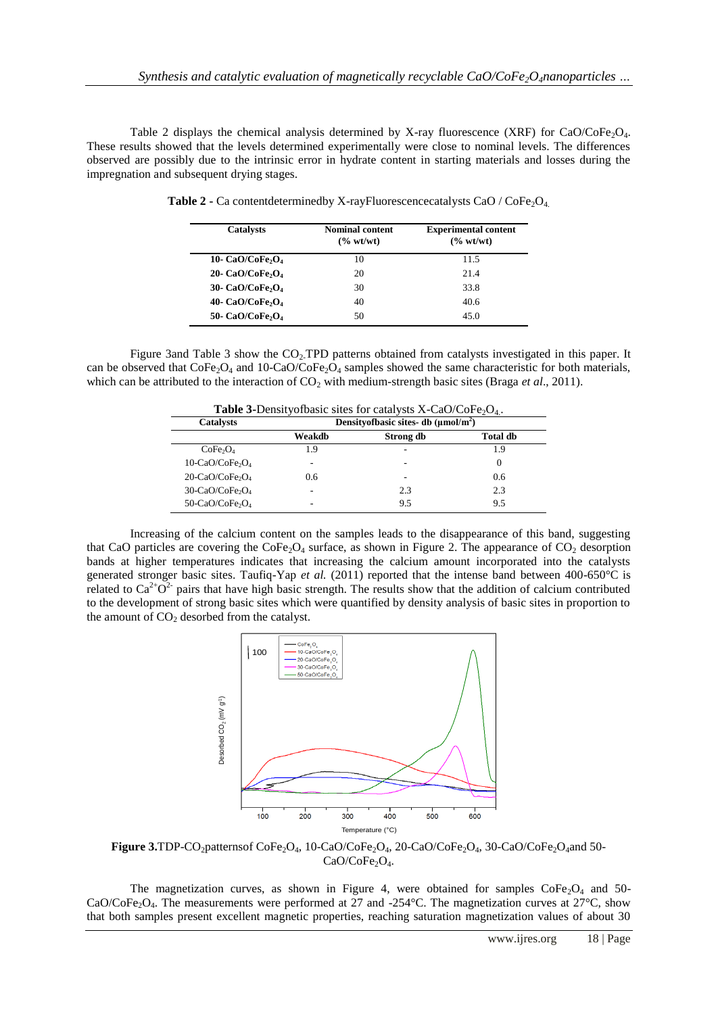Table 2 displays the chemical analysis determined by X-ray fluorescence (XRF) for CaO/CoFe<sub>2</sub>O<sub>4</sub>. These results showed that the levels determined experimentally were close to nominal levels. The differences observed are possibly due to the intrinsic error in hydrate content in starting materials and losses during the impregnation and subsequent drying stages.

| <b>Catalysts</b>                         | <b>Nominal content</b><br>$\frac{6}{6}$ wt/wt) | <b>Experimental content</b><br>(% wt/wt) |
|------------------------------------------|------------------------------------------------|------------------------------------------|
| 10- CaO/CoFe <sub>2</sub> O <sub>4</sub> | 10                                             | 11.5                                     |
| 20- CaO/CoFe <sub>2</sub> O <sub>4</sub> | 20                                             | 21.4                                     |
| 30- CaO/CoFe <sub>2</sub> O <sub>4</sub> | 30                                             | 33.8                                     |
| 40- CaO/CoFe <sub>2</sub> O <sub>4</sub> | 40                                             | 40.6                                     |
| 50- CaO/CoFe <sub>2</sub> O <sub>4</sub> | 50                                             | 45.0                                     |

**Table 2 -** Ca contentdeterminedby X-rayFluorescencecatalysts CaO / CoFe<sub>2</sub>O<sub>4.</sub>

Figure 3and Table 3 show the CO<sub>2</sub>. TPD patterns obtained from catalysts investigated in this paper. It can be observed that  $\text{CoFe}_2\text{O}_4$  and 10-CaO/CoFe<sub>2</sub>O<sub>4</sub> samples showed the same characteristic for both materials, which can be attributed to the interaction of  $CO<sub>2</sub>$  with medium-strength basic sites (Braga *et al.*, 2011).

| <b>Table 3-Density of basic sites for catalysts X-CaO/CoFe</b> <sub>2</sub> $O_4$ . |                                                   |           |                 |  |
|-------------------------------------------------------------------------------------|---------------------------------------------------|-----------|-----------------|--|
| <b>Catalysts</b>                                                                    | Density of basic sites- db $(\mu \text{mol/m}^2)$ |           |                 |  |
|                                                                                     | Weakdb                                            | Strong db | <b>Total db</b> |  |
| CoFe <sub>2</sub> O <sub>4</sub>                                                    | 1.9                                               |           | 1.9             |  |
| $10$ -CaO/CoFe <sub>2</sub> O <sub>4</sub>                                          | ۰                                                 |           | 0               |  |
| $20$ -CaO/CoFe <sub>2</sub> O <sub>4</sub>                                          | 0.6                                               |           | 0.6             |  |
| $30$ -CaO/CoFe <sub>2</sub> O <sub>4</sub>                                          | ۰                                                 | 2.3       | 2.3             |  |
| 50-CaO/CoFe <sub>2</sub> O <sub>4</sub>                                             | -                                                 | 9.5       | 9.5             |  |

Increasing of the calcium content on the samples leads to the disappearance of this band, suggesting that CaO particles are covering the  $\text{CoFe}_2\text{O}_4$  surface, as shown in Figure 2. The appearance of CO<sub>2</sub> desorption bands at higher temperatures indicates that increasing the calcium amount incorporated into the catalysts generated stronger basic sites. Taufiq-Yap *et al.* (2011) reported that the intense band between 400-650°C is related to  $Ca^{2+}O^{2}$  pairs that have high basic strength. The results show that the addition of calcium contributed to the development of strong basic sites which were quantified by density analysis of basic sites in proportion to the amount of  $CO<sub>2</sub>$  desorbed from the catalyst.



Figure 3.TDP-CO<sub>2</sub>patternsof CoFe<sub>2</sub>O<sub>4</sub>, 10-CaO/CoFe<sub>2</sub>O<sub>4</sub>, 20-CaO/CoFe<sub>2</sub>O<sub>4</sub>, 30-CaO/CoFe<sub>2</sub>O<sub>4</sub>and 50-CaO/CoFe<sub>2</sub>O<sub>4</sub>.

The magnetization curves, as shown in Figure 4, were obtained for samples  $\text{CoFe}_2\text{O}_4$  and 50-CaO/CoFe<sub>2</sub>O<sub>4</sub>. The measurements were performed at 27 and -254 $^{\circ}$ C. The magnetization curves at 27 $^{\circ}$ C, show that both samples present excellent magnetic properties, reaching saturation magnetization values of about 30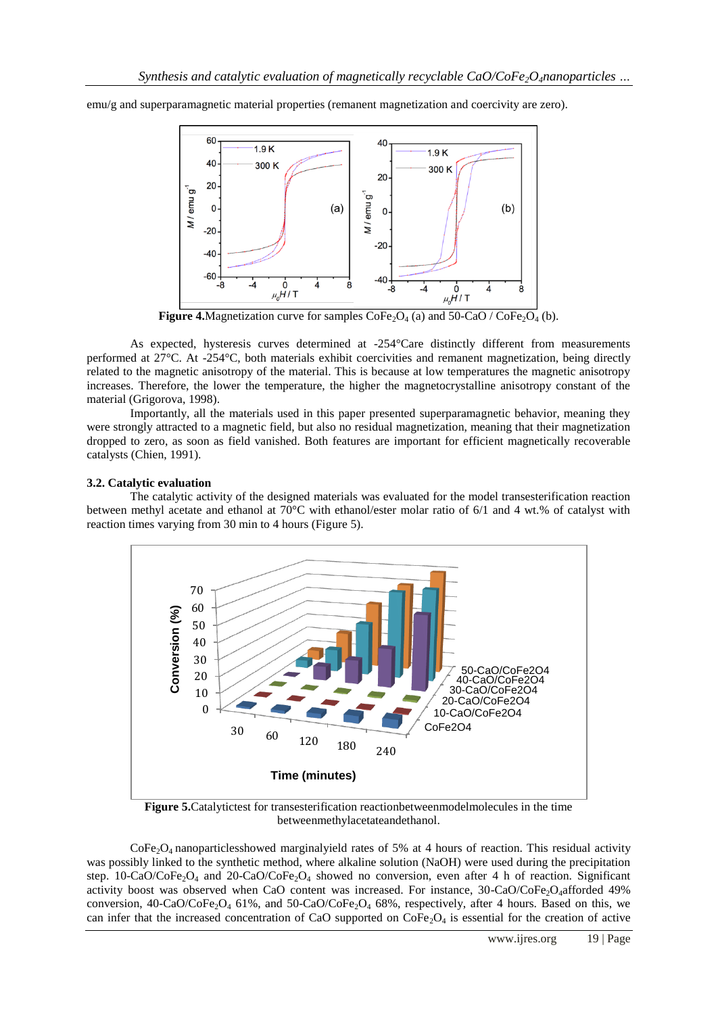emu/g and superparamagnetic material properties (remanent magnetization and coercivity are zero).



**Figure 4.**Magnetization curve for samples  $\text{CoFe}_2\text{O}_4$  (a) and 50-CaO /  $\text{CoFe}_2\text{O}_4$  (b).

As expected, hysteresis curves determined at -254°Care distinctly different from measurements performed at 27°C. At -254°C, both materials exhibit coercivities and remanent magnetization, being directly related to the magnetic anisotropy of the material. This is because at low temperatures the magnetic anisotropy increases. Therefore, the lower the temperature, the higher the magnetocrystalline anisotropy constant of the material (Grigorova, 1998).

Importantly, all the materials used in this paper presented superparamagnetic behavior, meaning they were strongly attracted to a magnetic field, but also no residual magnetization, meaning that their magnetization dropped to zero, as soon as field vanished. Both features are important for efficient magnetically recoverable catalysts (Chien, 1991).

## **3.2. Catalytic evaluation**

The catalytic activity of the designed materials was evaluated for the model transesterification reaction between methyl acetate and ethanol at 70°C with ethanol/ester molar ratio of 6/1 and 4 wt.% of catalyst with reaction times varying from 30 min to 4 hours (Figure 5).



**Figure 5.**Catalytictest for transesterification reactionbetweenmodelmolecules in the time betweenmethylacetateandethanol.

 $\text{CoFe}_2\text{O}_4$  nanoparticlesshowed marginalyield rates of 5% at 4 hours of reaction. This residual activity was possibly linked to the synthetic method, where alkaline solution (NaOH) were used during the precipitation step. 10-CaO/CoFe<sub>2</sub>O<sub>4</sub> and 20-CaO/CoFe<sub>2</sub>O<sub>4</sub> showed no conversion, even after 4 h of reaction. Significant activity boost was observed when CaO content was increased. For instance, 30-CaO/CoFe2O4afforded 49% conversion,  $40$ -CaO/CoFe<sub>2</sub>O<sub>4</sub> 61%, and  $50$ -CaO/CoFe<sub>2</sub>O<sub>4</sub> 68%, respectively, after 4 hours. Based on this, we can infer that the increased concentration of CaO supported on  $\text{CoFe}_2\text{O}_4$  is essential for the creation of active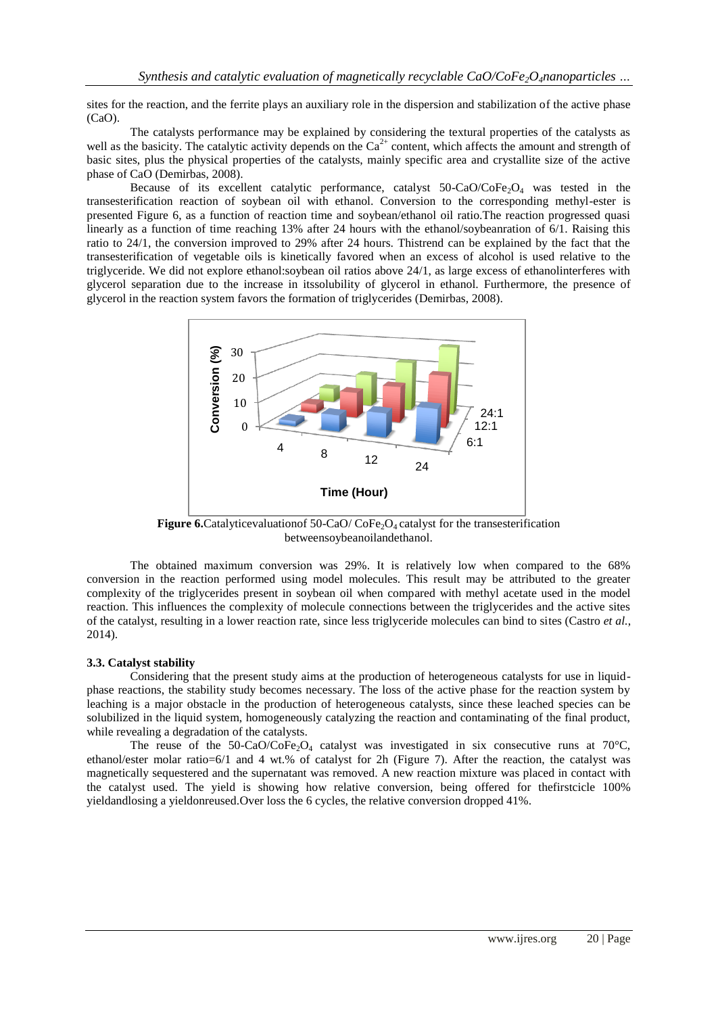sites for the reaction, and the ferrite plays an auxiliary role in the dispersion and stabilization of the active phase (CaO).

The catalysts performance may be explained by considering the textural properties of the catalysts as well as the basicity. The catalytic activity depends on the  $Ca^{2+}$  content, which affects the amount and strength of basic sites, plus the physical properties of the catalysts, mainly specific area and crystallite size of the active phase of CaO (Demirbas, 2008).

Because of its excellent catalytic performance, catalyst  $50$ -CaO/CoFe<sub>2</sub>O<sub>4</sub> was tested in the transesterification reaction of soybean oil with ethanol. Conversion to the corresponding methyl-ester is presented Figure 6, as a function of reaction time and soybean/ethanol oil ratio.The reaction progressed quasi linearly as a function of time reaching 13% after 24 hours with the ethanol/soybeanration of 6/1. Raising this ratio to 24/1, the conversion improved to 29% after 24 hours. Thistrend can be explained by the fact that the transesterification of vegetable oils is kinetically favored when an excess of alcohol is used relative to the triglyceride. We did not explore ethanol:soybean oil ratios above 24/1, as large excess of ethanolinterferes with glycerol separation due to the increase in itssolubility of glycerol in ethanol. Furthermore, the presence of glycerol in the reaction system favors the formation of triglycerides (Demirbas, 2008).



**Figure 6.**Catalyticevaluationof 50-CaO/ CoFe<sub>2</sub>O<sub>4</sub> catalyst for the transesterification betweensoybeanoilandethanol.

The obtained maximum conversion was 29%. It is relatively low when compared to the 68% conversion in the reaction performed using model molecules. This result may be attributed to the greater complexity of the triglycerides present in soybean oil when compared with methyl acetate used in the model reaction. This influences the complexity of molecule connections between the triglycerides and the active sites of the catalyst, resulting in a lower reaction rate, since less triglyceride molecules can bind to sites (Castro *et al.*, 2014).

#### **3.3. Catalyst stability**

Considering that the present study aims at the production of heterogeneous catalysts for use in liquidphase reactions, the stability study becomes necessary. The loss of the active phase for the reaction system by leaching is a major obstacle in the production of heterogeneous catalysts, since these leached species can be solubilized in the liquid system, homogeneously catalyzing the reaction and contaminating of the final product, while revealing a degradation of the catalysts.

The reuse of the 50-CaO/CoFe<sub>2</sub>O<sub>4</sub> catalyst was investigated in six consecutive runs at 70°C, ethanol/ester molar ratio=6/1 and 4 wt.% of catalyst for 2h (Figure 7). After the reaction, the catalyst was magnetically sequestered and the supernatant was removed. A new reaction mixture was placed in contact with the catalyst used. The yield is showing how relative conversion, being offered for thefirstcicle 100% yieldandlosing a yieldonreused.Over loss the 6 cycles, the relative conversion dropped 41%.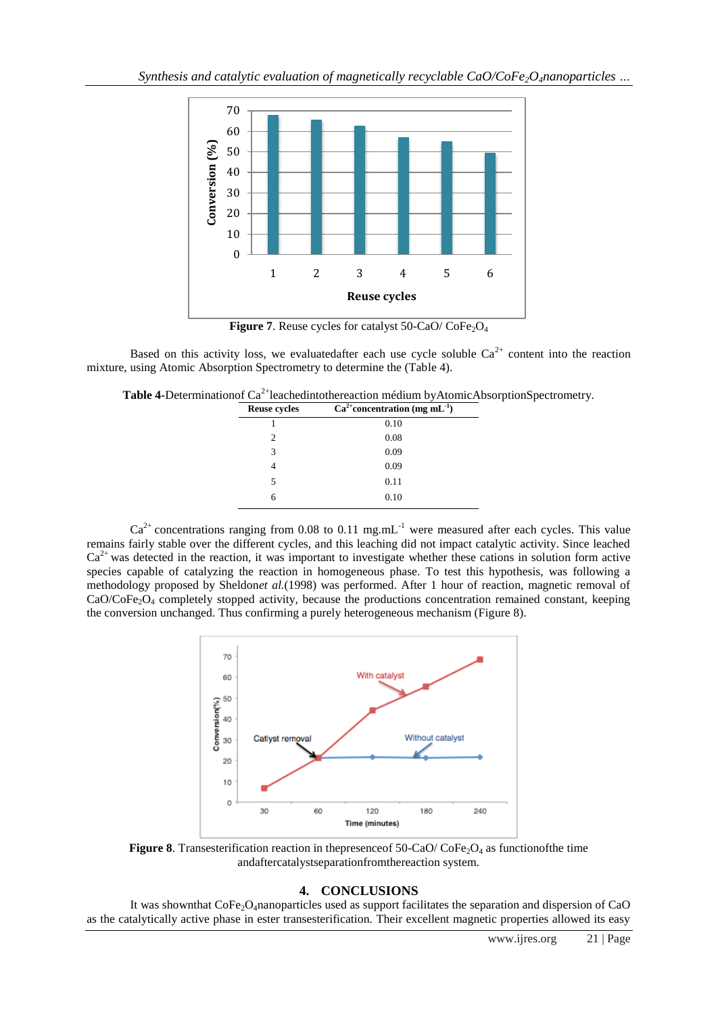

**Figure** 7. Reuse cycles for catalyst  $50$ -CaO/ CoFe<sub>2</sub>O<sub>4</sub>

Based on this activity loss, we evaluatedafter each use cycle soluble  $Ca^{2+}$  content into the reaction mixture, using Atomic Absorption Spectrometry to determine the (Table 4).

Table 4-Determinationof Ca<sup>2+</sup>leachedintothereaction médium byAtomicAbsorptionSpectrometry.

| <b>Reuse cycles</b> | $\overline{\text{Ca}^{2+}}$ concentration (mg mL <sup>-1</sup> ) |
|---------------------|------------------------------------------------------------------|
|                     | 0.10                                                             |
| 2                   | 0.08                                                             |
| 3                   | 0.09                                                             |
|                     | 0.09                                                             |
| 5                   | 0.11                                                             |
|                     | 0.10                                                             |

 $Ca<sup>2+</sup>$  concentrations ranging from 0.08 to 0.11 mg.mL<sup>-1</sup> were measured after each cycles. This value remains fairly stable over the different cycles, and this leaching did not impact catalytic activity. Since leached  $Ca^{2+}$  was detected in the reaction, it was important to investigate whether these cations in solution form active species capable of catalyzing the reaction in homogeneous phase. To test this hypothesis, was following a methodology proposed by Sheldon*et al.*(1998) was performed. After 1 hour of reaction, magnetic removal of CaO/CoFe<sub>2</sub>O<sub>4</sub> completely stopped activity, because the productions concentration remained constant, keeping the conversion unchanged. Thus confirming a purely heterogeneous mechanism (Figure 8).



**Figure 8**. Transesterification reaction in the presence of  $50$ -CaO/  $\text{CoFe}_2\text{O}_4$  as functionof the time andaftercatalystseparationfromthereaction system.

## **4. CONCLUSIONS**

It was shown that  $\text{CoFe}_2\text{O}_4$ nanoparticles used as support facilitates the separation and dispersion of CaO as the catalytically active phase in ester transesterification. Their excellent magnetic properties allowed its easy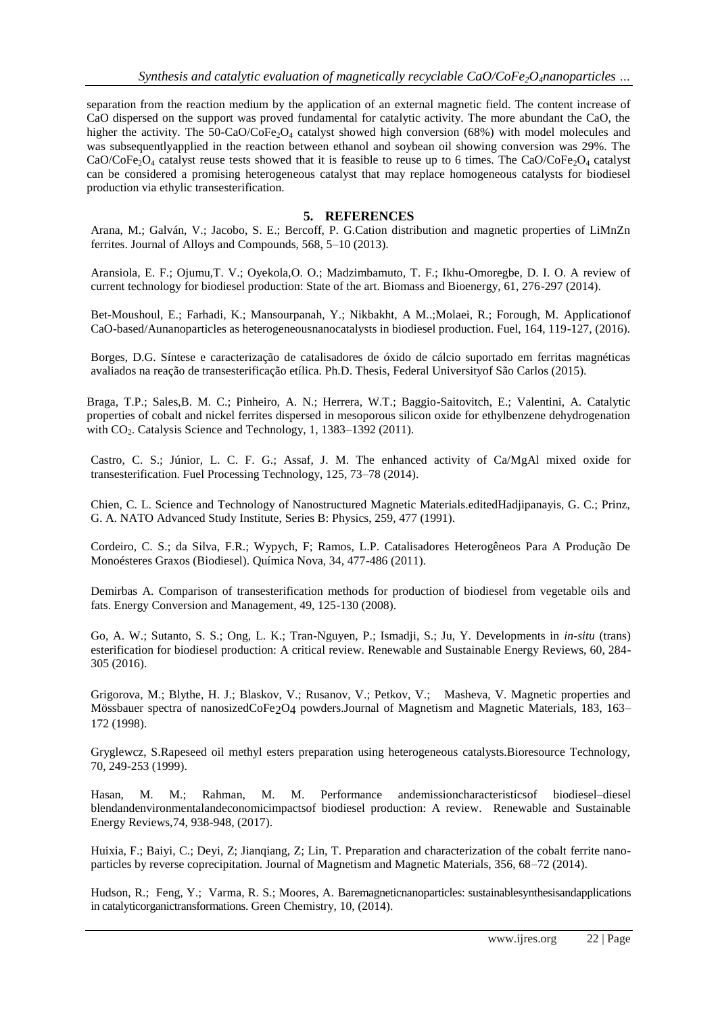separation from the reaction medium by the application of an external magnetic field. The content increase of CaO dispersed on the support was proved fundamental for catalytic activity. The more abundant the CaO, the higher the activity. The 50-CaO/CoFe<sub>2</sub>O<sub>4</sub> catalyst showed high conversion (68%) with model molecules and was subsequentlyapplied in the reaction between ethanol and soybean oil showing conversion was 29%. The CaO/CoFe<sub>2</sub>O<sub>4</sub> catalyst reuse tests showed that it is feasible to reuse up to 6 times. The CaO/CoFe<sub>2</sub>O<sub>4</sub> catalyst can be considered a promising heterogeneous catalyst that may replace homogeneous catalysts for biodiesel production via ethylic transesterification.

## **5. REFERENCES**

Arana, M.; Galván, V.; Jacobo, S. E.; Bercoff, P. G.Cation distribution and magnetic properties of LiMnZn ferrites. Journal of Alloys and Compounds, 568, 5–10 (2013).

Aransiola, E. F.; Ojumu,T. V.; Oyekola,O. O.; Madzimbamuto, T. F.; Ikhu-Omoregbe, D. I. O. A review of current technology for biodiesel production: State of the art. Biomass and Bioenergy, 61, 276-297 (2014).

Bet-Moushoul, E.; Farhadi, K.; Mansourpanah, Y.; Nikbakht, A M..;Molaei, R.; Forough, M. Applicationof CaO-based/Aunanoparticles as heterogeneousnanocatalysts in biodiesel production. Fuel, 164, 119-127, (2016).

Borges, D.G. Síntese e caracterização de catalisadores de óxido de cálcio suportado em ferritas magnéticas avaliados na reação de transesterificação etílica. Ph.D. Thesis, Federal Universityof São Carlos (2015).

Braga, T.P.; Sales,B. M. C.; Pinheiro, A. N.; Herrera, W.T.; Baggio-Saitovitch, E.; Valentini, A. Catalytic properties of cobalt and nickel ferrites dispersed in mesoporous silicon oxide for ethylbenzene dehydrogenation with  $CO<sub>2</sub>$ . Catalysis Science and Technology, 1, 1383–1392 (2011).

Castro, C. S.; Júnior, L. C. F. G.; Assaf, J. M. The enhanced activity of Ca/MgAl mixed oxide for transesterification. Fuel Processing Technology, 125, 73–78 (2014).

Chien, C. L. Science and Technology of Nanostructured Magnetic Materials.editedHadjipanayis, G. C.; Prinz, G. A. NATO Advanced Study Institute, Series B: Physics, 259, 477 (1991).

Cordeiro, C. S.; da Silva, F.R.; Wypych, F; Ramos, L.P. Catalisadores Heterogêneos Para A Produção De Monoésteres Graxos (Biodiesel). Química Nova, 34, 477-486 (2011).

Demirbas A. Comparison of transesterification methods for production of biodiesel from vegetable oils and fats. Energy Conversion and Management, 49, 125-130 (2008).

Go, A. W.; Sutanto, S. S.; Ong, L. K.; Tran-Nguyen, P.; Ismadji, S.; Ju, Y. Developments in *in-situ* (trans) esterification for biodiesel production: A critical review. Renewable and Sustainable Energy Reviews, 60, 284- 305 (2016).

Grigorova, M.; Blythe, H. J.; Blaskov, V.; Rusanov, V.; Petkov, V.; Masheva, V. Magnetic properties and Mössbauer spectra of nanosizedCoFe2O4 powders.Journal of Magnetism and Magnetic Materials, 183, 163– 172 (1998).

Gryglewcz, S.Rapeseed oil methyl esters preparation using heterogeneous catalysts.Bioresource Technology, 70, 249-253 (1999).

Hasan, M. M.; Rahman, M. M. Performance andemissioncharacteristicsof biodiesel–diesel blendandenvironmentalandeconomicimpactsof biodiesel production: A review. Renewable and Sustainable Energy Reviews,74, 938-948, (2017).

Huixia, F.; Baiyi, C.; Deyi, Z; Jianqiang, Z; Lin, T. Preparation and characterization of the cobalt ferrite nanoparticles by reverse coprecipitation. Journal of Magnetism and Magnetic Materials, 356, 68–72 (2014).

Hudson, R.; Feng, Y.; Varma, R. S.; Moores, A. Baremagneticnanoparticles: sustainablesynthesisandapplications in catalyticorganictransformations. Green Chemistry, 10, (2014).